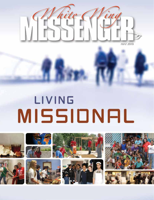

# LIVING MISSIONAL

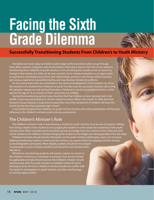# **Facing the Sixth Grade Dilemma**



## **Successfully Transitioning Students From Children's to Youth Ministry**

Transitions are never easy, no matter at what stage we find ourselves when we go through them. When parents, caregivers, and church leaders think about stress in the lives of our students, transitioning from children's to youth ministry is not something that usually comes to mind. Any change in the routine of a child can be very stressful. Some embrace transition as an opportunity to experience something new, to form new relationships, and learn new things; others, however, get anxious, experience overwhelming fear, and may develop behavioral problems.

As men and women who are committed to the spiritual development of the students we serve, the transition of a student from children's to youth ministry *must* be successful. Statistics tell us that the salvation experience and spiritual formation of believers must be accomplished before a child reaches the age of 16, or chances of their conversion are unlikely.

During the transitioning period, many churches find that children or teens become lost in the shuffle or decrease participation in church-related functions. What is the result? In 2009, America's Research Group released a study that revealed that more than 60 percent of children will leave the church by the time they graduate high school.\*

A successful transition from children's to youth ministry involves the active participation of three key influencers: the children's minister, youth minister, and parents.

#### The Children's Minister's Role

The children's minister's role in transitioning a student to youth ministry must be one of support, shifting from being a leader of the student to encouraging the student to come under the leadership of the youth ministry team. When considering the transition period as a bridge from one ministry to the other, this shift can be viewed as the children's minister bringing the student to the bridge and waving goodbye from the edge.

Children's ministers should educate themselves on the youth ministry's philosophy, vision, and structure. Helping transitioning students understand the ministry can prepare them for stepping into the ministry as knowledgeable participants. When eligible, students should be encouraged to participate in youth ministry activities and should be commended when they do so.

 Oftentimes, transitioning students will express a desire to remain in the children's ministry as a volunteer or assistant. Such service should be applauded and welcomed; however, the children's minister should communicate with the youth minister to establish criteria for teens desiring to serve. Service in children's ministry should not conflict with the student's participation in youth ministry activities, small groups, or worship opportunities.

Liaisc